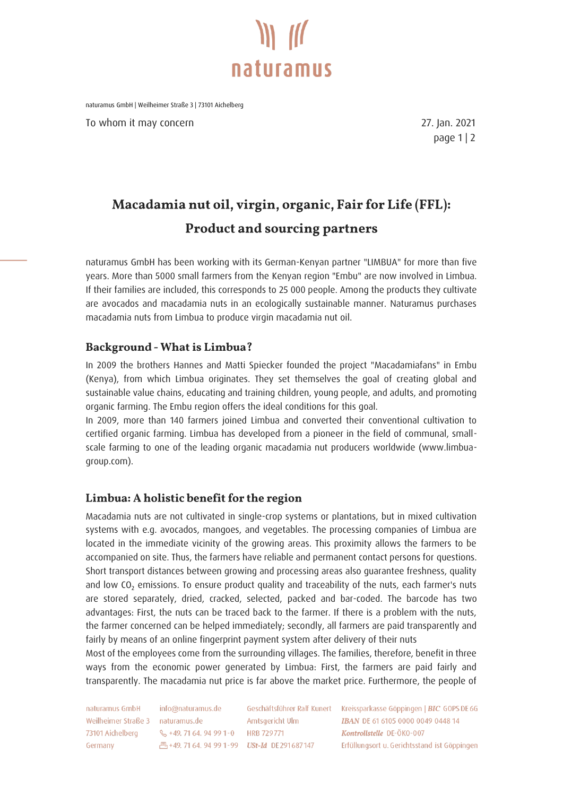

naturamus GmbH | Weilheimer Straße 3 | 73101 Aichelberg

To whom it may concern **27.** Jan. 2021

page 1 | 2

## Macadamia nut oil, virgin, organic, Fair for Life (FFL): **Product and sourcing partners**

naturamus GmbH has been working with its German-Kenyan partner "LIMBUA" for more than five years. More than 5000 small farmers from the Kenyan region "Embu" are now involved in Limbua. If their families are included, this corresponds to 25 000 people. Among the products they cultivate are avocados and macadamia nuts in an ecologically sustainable manner. Naturamus purchases macadamia nuts from Limbua to produce virgin macadamia nut oil.

#### **Background - What is Limbua?**

In 2009 the brothers Hannes and Matti Spiecker founded the project "Macadamiafans" in Embu (Kenya), from which Limbua originates. They set themselves the goal of creating global and sustainable value chains, educating and training children, young people, and adults, and promoting organic farming. The Embu region offers the ideal conditions for this goal.

In 2009, more than 140 farmers joined Limbua and converted their conventional cultivation to certified organic farming. Limbua has developed from a pioneer in the field of communal, smallscale farming to one of the leading organic macadamia nut producers worldwide (www.limbuagroup.com).

#### Limbua: A holistic benefit for the region

Macadamia nuts are not cultivated in single-crop systems or plantations, but in mixed cultivation systems with e.g. avocados, mangoes, and vegetables. The processing companies of Limbua are located in the immediate vicinity of the growing areas. This proximity allows the farmers to be accompanied on site. Thus, the farmers have reliable and permanent contact persons for questions. Short transport distances between growing and processing areas also guarantee freshness, quality and low CO<sub>2</sub> emissions. To ensure product quality and traceability of the nuts, each farmer's nuts are stored separately, dried, cracked, selected, packed and bar-coded. The barcode has two advantages: First, the nuts can be traced back to the farmer. If there is a problem with the nuts, the farmer concerned can be helped immediately; secondly, all farmers are paid transparently and fairly by means of an online fingerprint payment system after delivery of their nuts

Most of the employees come from the surrounding villages. The families, therefore, benefit in three ways from the economic power generated by Limbua: First, the farmers are paid fairly and transparently. The macadamia nut price is far above the market price. Furthermore, the people of

naturamus GmbH Weilheimer Straße 3 naturamus.de 73101 Aichelberg Germany

info@naturamus.de & +49, 71 64, 94 99 1-0 HRB 729 771

Amtsgericht Ulm 凸+49.71 64.94 99 1-99 USt-Id DE291687147

Geschäftsführer Ralf Kunert Kreissparkasse Göppingen | BIC GOPS DE 6G **IBAN DE 61 6105 0000 0049 0448 14** Kontrollstelle DE-ÖKO-007 Erfüllungsort u. Gerichtsstand ist Göppingen